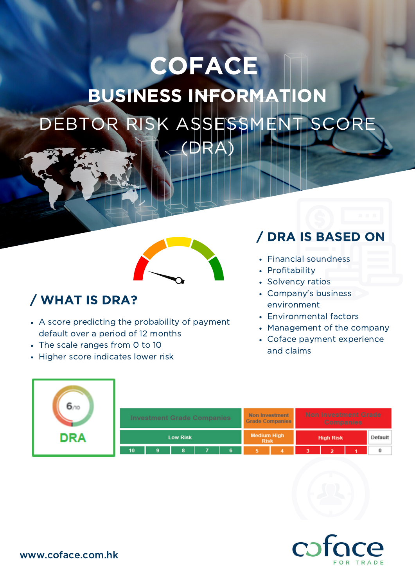# DEBTOR RISK ASSESSMENT SCOR (DRA) **COFACE** BUSINESS INFORMATION



## / WHAT IS DRA?

- A score predicting the probability of payment default over a period of 12 months
- The scale ranges from 0 to 10
- Higher score indicates lower risk

# / DRA IS BASED ON

- Financial soundness
- Profitability
- Solvency ratios
- Company's business environment
- Environmental factors
- Management of the company
- Coface payment experience and claims

| 6 <sub>m</sub> |                                   |  |   |  |   |                                                 |  |                                                 |                         |         |   |
|----------------|-----------------------------------|--|---|--|---|-------------------------------------------------|--|-------------------------------------------------|-------------------------|---------|---|
|                | <b>Investment Grade Companies</b> |  |   |  |   | <b>Non Investment</b><br><b>Grade Companies</b> |  | <b>Non Investment Grade</b><br><b>Companies</b> |                         |         |   |
| <b>DRA</b>     | <b>Low Risk</b>                   |  |   |  |   | <b>Medium High</b><br><b>Risk</b>               |  | <b>High Risk</b>                                |                         | Default |   |
|                | 10                                |  | 8 |  | 6 |                                                 |  |                                                 | $\overline{\mathbf{z}}$ |         | 0 |